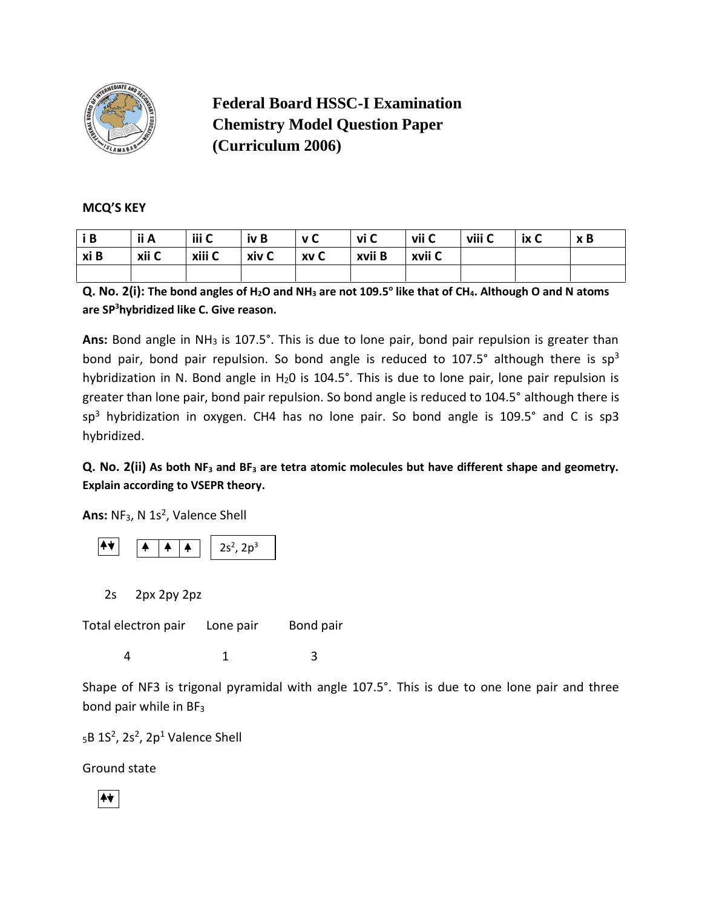

**Federal Board HSSC-I Examination Chemistry Model Question Paper (Curriculum 2006)**

## **MCQ'S KEY**

| i B  | ii A  | iii C  | iv B                           | v C | vi C   | vii C  | viii C | ix C | x B |
|------|-------|--------|--------------------------------|-----|--------|--------|--------|------|-----|
| xi B | xii C | xiii C | $\overline{\phantom{a}}$ xiv C | xvC | xvii B | xvii C |        |      |     |
|      |       |        |                                |     |        |        |        |      |     |

**Q. No. 2(i): The bond angles of H2O and NH<sup>3</sup> are not 109.5<sup>o</sup> like that of CH4. Although O and N atoms are SP<sup>3</sup>hybridized like C. Give reason.**

Ans: Bond angle in NH<sub>3</sub> is 107.5°. This is due to lone pair, bond pair repulsion is greater than bond pair, bond pair repulsion. So bond angle is reduced to 107.5° although there is  $sp^3$ hybridization in N. Bond angle in H<sub>2</sub>O is 104.5°. This is due to lone pair, lone pair repulsion is greater than lone pair, bond pair repulsion. So bond angle is reduced to 104.5° although there is sp<sup>3</sup> hybridization in oxygen. CH4 has no lone pair. So bond angle is 109.5° and C is sp3 hybridized.

# **Q. No. 2(ii) As both NF<sup>3</sup> and BF<sup>3</sup> are tetra atomic molecules but have different shape and geometry. Explain according to VSEPR theory.**

Ans: NF<sub>3</sub>, N 1s<sup>2</sup>, Valence Shell



2s 2px 2py 2pz

Total electron pair Lone pair Bond pair

4 1 3

Shape of NF3 is trigonal pyramidal with angle 107.5°. This is due to one lone pair and three bond pair while in BF<sup>3</sup>

 $_5$ B 1S<sup>2</sup>, 2s<sup>2</sup>, 2p<sup>1</sup> Valence Shell

Ground state

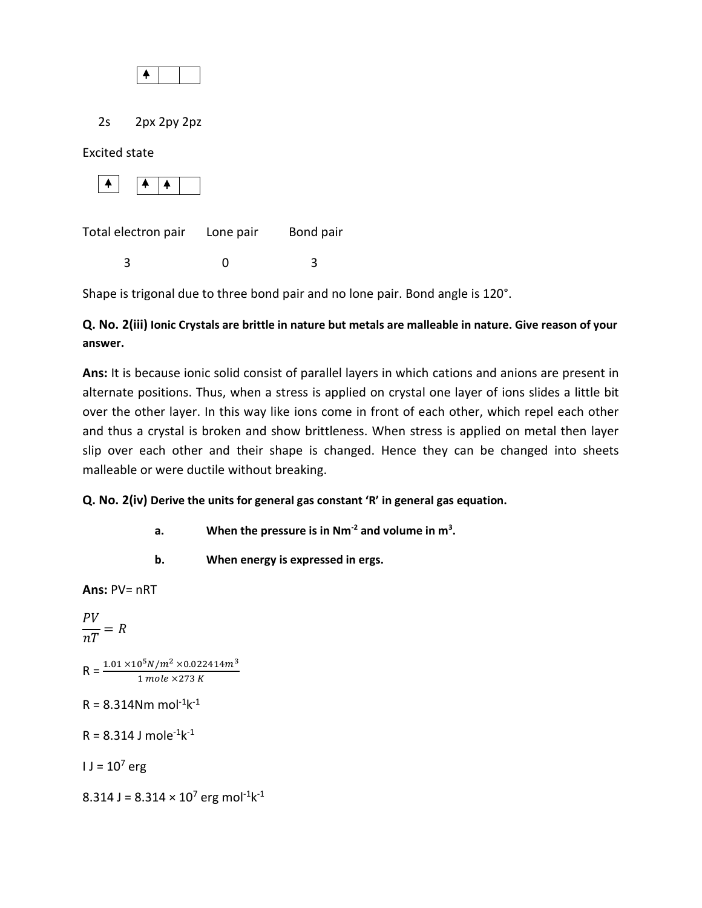

2s 2px 2py 2pz

Excited state



Total electron pair Lone pair Bond pair

3 0 3

Shape is trigonal due to three bond pair and no lone pair. Bond angle is 120°.

# **Q. No. 2(iii) Ionic Crystals are brittle in nature but metals are malleable in nature. Give reason of your answer.**

**Ans:** It is because ionic solid consist of parallel layers in which cations and anions are present in alternate positions. Thus, when a stress is applied on crystal one layer of ions slides a little bit over the other layer. In this way like ions come in front of each other, which repel each other and thus a crystal is broken and show brittleness. When stress is applied on metal then layer slip over each other and their shape is changed. Hence they can be changed into sheets malleable or were ductile without breaking.

**Q. No. 2(iv) Derive the units for general gas constant 'R' in general gas equation.**

- **a. When the pressure is in Nm-2 and volume in m<sup>3</sup> .**
- **b. When energy is expressed in ergs.**

**Ans:** PV= nRT

$$
\frac{PV}{nT} = R
$$

 $R = \frac{1.01 \times 10^5 N/m^2 \times 0.022414 m^3}{1 \, mole \times 273 \, K}$ 

 $R = 8.314$ Nm mol<sup>-1</sup>k<sup>-1</sup>

 $R = 8.314$  J mole<sup>-1</sup>k<sup>-1</sup>

 $I = 10^{7}$  erg

8.314 J = 8.314  $\times$  10<sup>7</sup> erg mol<sup>-1</sup>k<sup>-1</sup>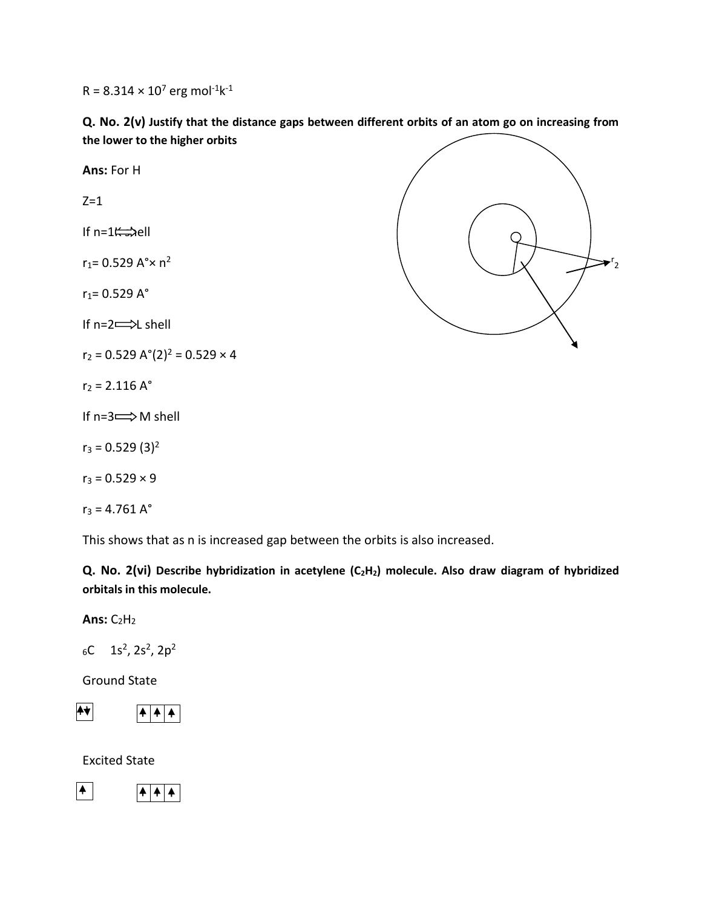$R = 8.314 \times 10^7$  erg mol<sup>-1</sup>k<sup>-1</sup>

**Q. No. 2(v) Justify that the distance gaps between different orbits of an atom go on increasing from the lower to the higher orbits**



This shows that as n is increased gap between the orbits is also increased.

**Q. No. 2(vi) Describe hybridization in acetylene (C2H2) molecule. Also draw diagram of hybridized orbitals in this molecule.**

**Ans: C<sub>2</sub>H<sub>2</sub>** 

 $_6C$  1s<sup>2</sup>, 2s<sup>2</sup>, 2p<sup>2</sup>

Ground State



Excited State

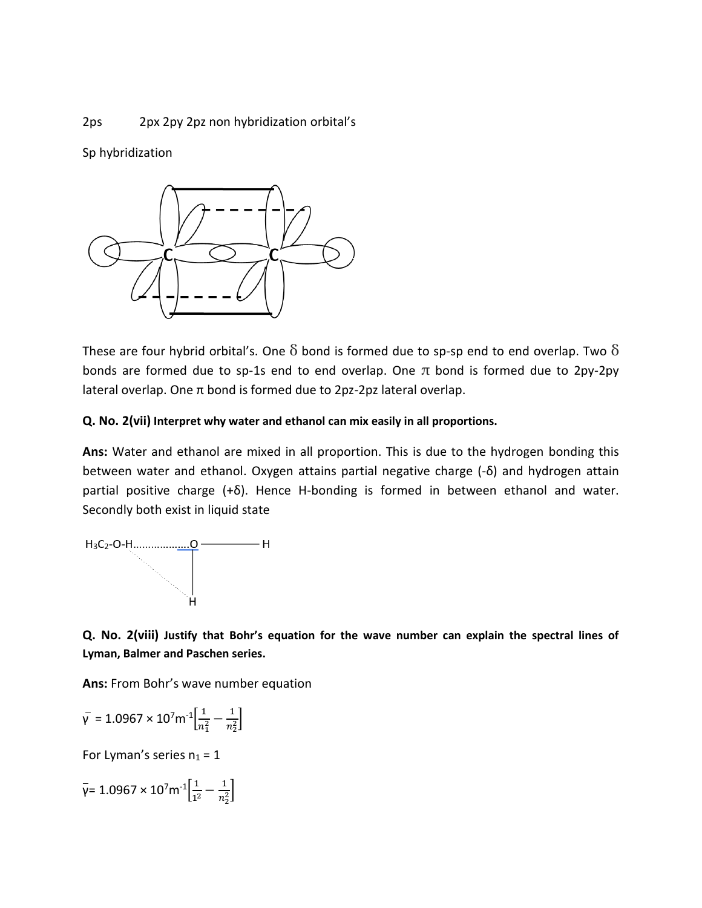## 2ps 2px 2py 2pz non hybridization orbital's

Sp hybridization



These are four hybrid orbital's. One  $\delta$  bond is formed due to sp-sp end to end overlap. Two  $\delta$ bonds are formed due to sp-1s end to end overlap. One  $\pi$  bond is formed due to 2py-2py lateral overlap. One π bond is formed due to 2pz-2pz lateral overlap.

## **Q. No. 2(vii) Interpret why water and ethanol can mix easily in all proportions.**

**Ans:** Water and ethanol are mixed in all proportion. This is due to the hydrogen bonding this between water and ethanol. Oxygen attains partial negative charge (-δ) and hydrogen attain partial positive charge (+δ). Hence H-bonding is formed in between ethanol and water. Secondly both exist in liquid state



**Q. No. 2(viii) Justify that Bohr's equation for the wave number can explain the spectral lines of Lyman, Balmer and Paschen series.**

**Ans:** From Bohr's wave number equation

$$
\bar{\gamma} = 1.0967 \times 10^7 \text{m}^{-1} \left[ \frac{1}{n_1^2} - \frac{1}{n_2^2} \right]
$$

For Lyman's series  $n_1 = 1$ 

$$
\bar{\gamma} = 1.0967 \times 10^7 m^{-1} \left[ \frac{1}{1^2} - \frac{1}{n_2^2} \right]
$$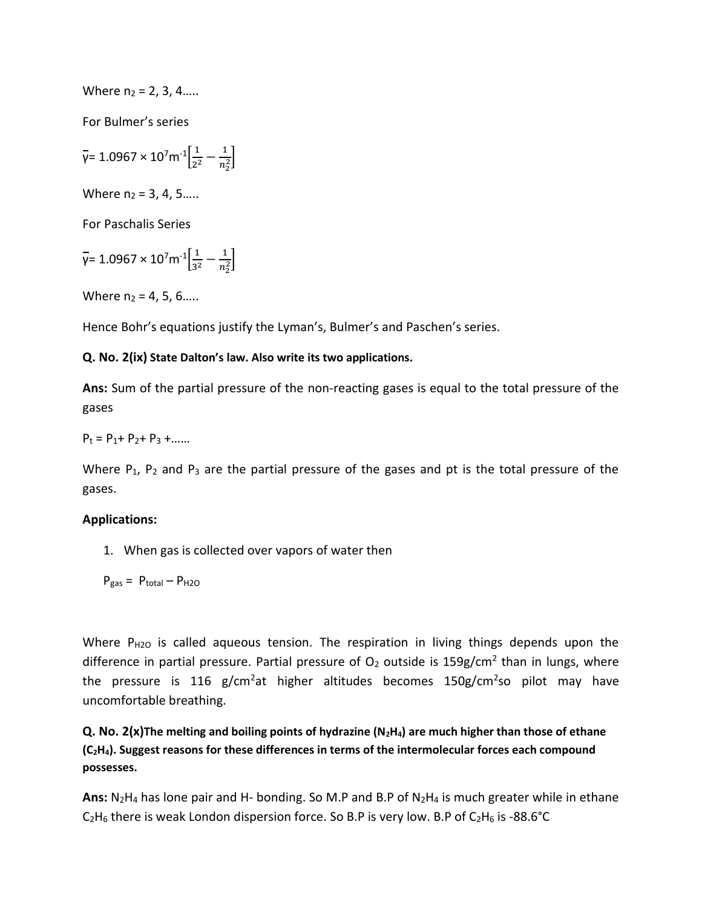Where  $n_2 = 2, 3, 4, \ldots$ 

For Bulmer's series

 $\bar{y}$ = 1.0967 × 10<sup>7</sup>m<sup>-1</sup> $\left[\frac{1}{2}$  $rac{1}{2^2} - \frac{1}{n_2^2}$  $\frac{1}{n_2^2}$ 

Where  $n_2 = 3, 4, 5...$ .

For Paschalis Series

$$
\bar{\gamma} = 1.0967 \times 10^7 m^{-1} \left[ \frac{1}{3^2} - \frac{1}{n_2^2} \right]
$$

Where  $n_2 = 4, 5, 6, \ldots$ 

Hence Bohr's equations justify the Lyman's, Bulmer's and Paschen's series.

## **Q. No. 2(ix) State Dalton's law. Also write its two applications.**

**Ans:** Sum of the partial pressure of the non-reacting gases is equal to the total pressure of the gases

 $P_1 = P_1 + P_2 + P_3 + \dots$ 

Where  $P_1$ ,  $P_2$  and  $P_3$  are the partial pressure of the gases and pt is the total pressure of the gases.

#### **Applications:**

1. When gas is collected over vapors of water then

$$
P_{gas} = P_{total} - P_{H2O}
$$

Where P<sub>H2O</sub> is called aqueous tension. The respiration in living things depends upon the difference in partial pressure. Partial pressure of  $O_2$  outside is 159g/cm<sup>2</sup> than in lungs, where the pressure is 116 g/cm<sup>2</sup>at higher altitudes becomes 150g/cm<sup>2</sup>so pilot may have uncomfortable breathing.

**Q. No. 2(x)The melting and boiling points of hydrazine (N2H4) are much higher than those of ethane (C2H4). Suggest reasons for these differences in terms of the intermolecular forces each compound possesses.**

**Ans:** N2H<sup>4</sup> has lone pair and H- bonding. So M.P and B.P of N2H<sup>4</sup> is much greater while in ethane  $C_2H_6$  there is weak London dispersion force. So B.P is very low. B.P of  $C_2H_6$  is -88.6°C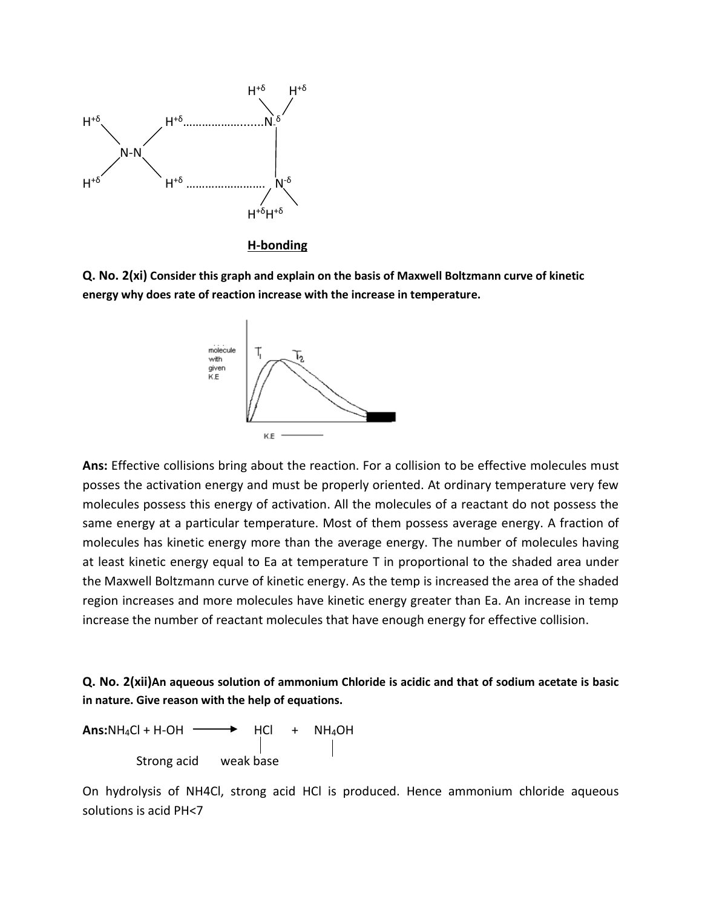

#### **H-bonding**

**Q. No. 2(xi) Consider this graph and explain on the basis of Maxwell Boltzmann curve of kinetic energy why does rate of reaction increase with the increase in temperature.**



**Ans:** Effective collisions bring about the reaction. For a collision to be effective molecules must posses the activation energy and must be properly oriented. At ordinary temperature very few molecules possess this energy of activation. All the molecules of a reactant do not possess the same energy at a particular temperature. Most of them possess average energy. A fraction of molecules has kinetic energy more than the average energy. The number of molecules having at least kinetic energy equal to Ea at temperature T in proportional to the shaded area under the Maxwell Boltzmann curve of kinetic energy. As the temp is increased the area of the shaded region increases and more molecules have kinetic energy greater than Ea. An increase in temp increase the number of reactant molecules that have enough energy for effective collision.

## **Q. No. 2(xii)An aqueous solution of ammonium Chloride is acidic and that of sodium acetate is basic in nature. Give reason with the help of equations.**

 $Ans:NH_4Cl + H-OH \longrightarrow HCl + NH_4OH$ Strong acid weak base

On hydrolysis of NH4Cl, strong acid HCl is produced. Hence ammonium chloride aqueous solutions is acid PH<7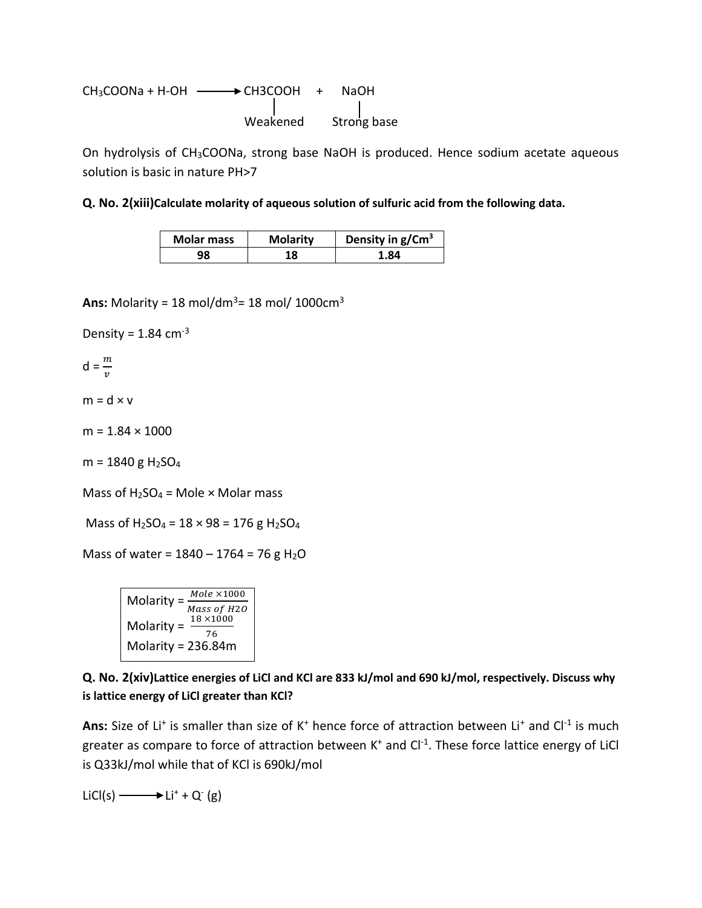$$
CH3COONA + H-OH
$$
\n
$$
\begin{array}{c}\n \begin{array}{ccc}\n & \text{C} & \text{H} \\
\text{C} & \text{H} \\
& \text{C} \\
& \text{C} \\
& \text{C} \\
& \text{C} \\
& \text{C} \\
& \text{D} \\
& \text{C} \\
& \text{D} \\
& \text{D} \\
& \text{D} \\
& \text{D} \\
& \text{D} \\
& \text{D} \\
& \text{D} \\
& \text{D} \\
& \text{D} \\
& \text{D} \\
& \text{D} \\
& \text{D} \\
& \text{D} \\
& \text{D} \\
& \text{D} \\
& \text{D} \\
& \text{D} \\
& \text{D} \\
& \text{D} \\
& \text{D} \\
& \text{D} \\
& \text{D} \\
& \text{D} \\
& \text{D} \\
& \text{D} \\
& \text{D} \\
& \text{D} \\
& \text{D} \\
& \text{D} \\
& \text{D} \\
& \text{D} \\
& \text{D} \\
& \text{D} \\
& \text{D} \\
& \text{D} \\
& \text{D} \\
& \text{D} \\
& \text{D} \\
& \text{D} \\
& \text{D} \\
& \text{D} \\
& \text{D} \\
& \text{D} \\
& \text{D} \\
& \text{D} \\
& \text{D} \\
& \text{D} \\
& \text{D} \\
& \text{D} \\
& \text{D} \\
& \text{D} \\
& \text{D} \\
& \text{D} \\
& \text{D} \\
& \text{D} \\
& \text{D} \\
& \text{D} \\
& \text{D} \\
& \text{D} \\
& \text{D} \\
& \text{D} \\
& \text{D} \\
& \text{D} \\
& \text{D} \\
& \text{D} \\
& \text{D} \\
& \text{D} \\
& \text{D} \\
& \text{D} \\
& \text
$$

On hydrolysis of CH<sub>3</sub>COONa, strong base NaOH is produced. Hence sodium acetate aqueous solution is basic in nature PH>7

**Q. No. 2(xiii)Calculate molarity of aqueous solution of sulfuric acid from the following data.**

| <b>Molar mass</b> | <b>Molarity</b> | Density in $g/Cm3$ |
|-------------------|-----------------|--------------------|
| 98                | 18              | 1.84               |

**Ans:** Molarity = 18 mol/dm<sup>3</sup> = 18 mol/ 1000 $cm^3$ 

Density =  $1.84$  cm<sup>-3</sup>

 $d = \frac{m}{v}$ 

 $m = d \times v$ 

 $m = 1.84 \times 1000$ 

 $m = 1840 g H<sub>2</sub>SO<sub>4</sub>$ 

Mass of  $H_2SO_4 =$  Mole  $\times$  Molar mass

Mass of  $H_2SO_4 = 18 \times 98 = 176$  g  $H_2SO_4$ 

Mass of water =  $1840 - 1764 = 76$  g H<sub>2</sub>O

Molarity =  $\frac{Mole \times 1000}{Mass~of~H20}$ Molarity =  $\frac{18 \times 1000}{76}$ Molarity = 236.84m

**Q. No. 2(xiv)Lattice energies of LiCl and KCl are 833 kJ/mol and 690 kJ/mol, respectively. Discuss why is lattice energy of LiCl greater than KCl?**

Ans: Size of Li<sup>+</sup> is smaller than size of K<sup>+</sup> hence force of attraction between Li<sup>+</sup> and Cl<sup>-1</sup> is much greater as compare to force of attraction between K<sup>+</sup> and Cl<sup>-1</sup>. These force lattice energy of LiCl is Q33kJ/mol while that of KCl is 690kJ/mol

 $LiCl(s)$   $\longrightarrow$   $Li^+ + Q^-(g)$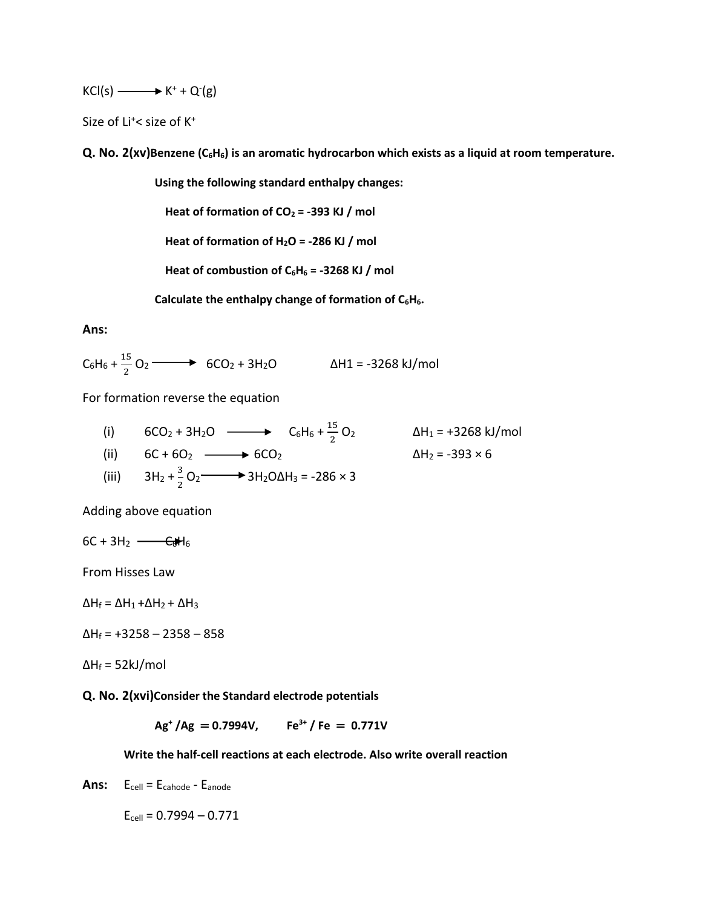$KCl(s) \longrightarrow K^+ + Q^-(g)$ 

Size of Li<sup>+</sup>< size of K<sup>+</sup>

**Q. No. 2(xv)Benzene (C6H6) is an aromatic hydrocarbon which exists as a liquid at room temperature.**

**Using the following standard enthalpy changes:**

**Heat of formation of CO<sup>2</sup> = -393 KJ / mol**

**Heat of formation of H2O = -286 KJ / mol**

Heat of combustion of  $C_6H_6 = -3268$  KJ / mol

**Calculate the enthalpy change of formation of C6H6.**

**Ans:**

 $C_6H_6 + \frac{15}{3}$  $\frac{15}{2}$  O<sub>2</sub> → 6CO<sub>2</sub> + 3H<sub>2</sub>O △H1 = -3268 kJ/mol

For formation reverse the equation

(i)  $6CO_2 + 3H_2O \longrightarrow C_6H_6 + \frac{15}{3}$  $\frac{13}{2}$  O<sub>2</sub> ΔH<sub>1</sub> = +3268 kJ/mol (ii)  $6C + 6O_2 \longrightarrow 6CO_2$   $\Delta H_2 = -393 \times 6$ (iii)  $3H_2 + \frac{3}{2}$  $\frac{3}{2}$  O<sub>2</sub>  $\longrightarrow$  3H<sub>2</sub>O $\Delta$ H<sub>3</sub> = -286 × 3

Adding above equation

$$
6C + 3H_2 \longrightarrow \text{C}H_6
$$

From Hisses Law

 $\Delta H_f = \Delta H_1 + \Delta H_2 + \Delta H_3$ 

 $\Delta H_f$  = +3258 – 2358 – 858

 $\Delta H_f = 52 \text{kJ/mol}$ 

**Q. No. 2(xvi)Consider the Standard electrode potentials**

**Ag<sup>+</sup> /Ag** = **0.7994V, Fe3+ / Fe** = **0.771V**

**Write the half-cell reactions at each electrode. Also write overall reaction**

Ans: E<sub>cell</sub> = E<sub>cahode</sub> - E<sub>anode</sub>

 $E_{cell} = 0.7994 - 0.771$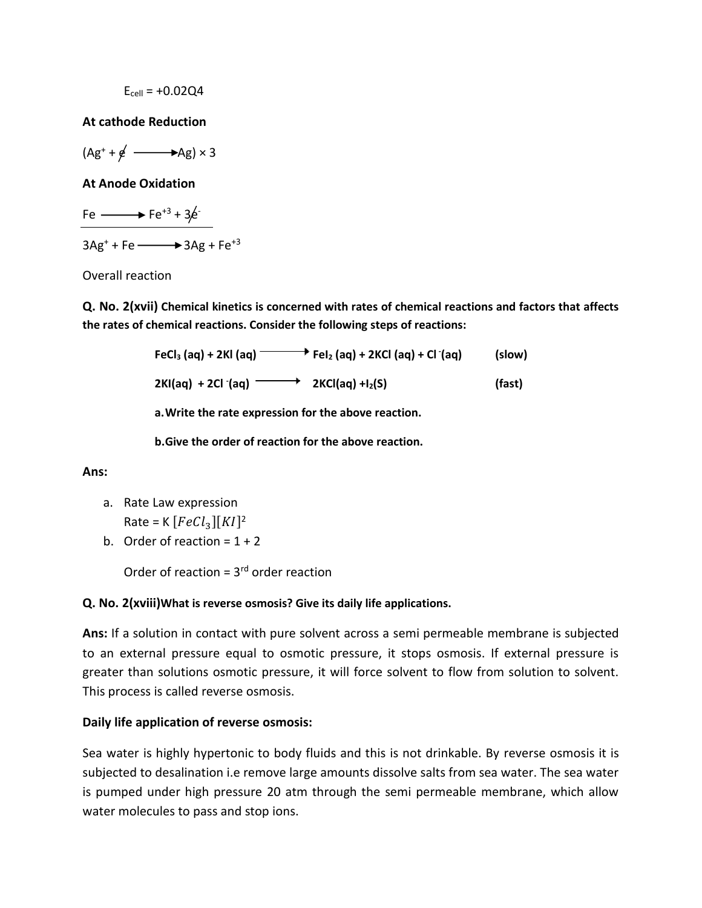$$
E_{cell} = +0.02Q4
$$

## **At cathode Reduction**

 $(Ag^+ + g^0 \longrightarrow Ag) \times 3$ 

**At Anode Oxidation**

Fe  $\longrightarrow$  Fe<sup>+3</sup> + 3 $\neq$ 

 $3Ag^{+}$  + Fe  $\longrightarrow$  3Ag + Fe<sup>+3</sup>

Overall reaction

**Q. No. 2(xvii) Chemical kinetics is concerned with rates of chemical reactions and factors that affects the rates of chemical reactions. Consider the following steps of reactions:**

> **FeCl**<sub>3</sub> (aq) + 2Kl (aq)  $\longrightarrow$  **Fel**<sub>2</sub> (aq) + 2KCl (aq) + Cl <sup>-</sup>(aq) **(aq) (slow)**

**2KI(aq) + 2Cl - (aq) 2KCl(aq) +I2(S) (fast)**

**a.Write the rate expression for the above reaction.**

**b.Give the order of reaction for the above reaction.**

**Ans:**

- a. Rate Law expression Rate = K  $[FeCl<sub>3</sub>][KI]<sup>2</sup>$
- b. Order of reaction =  $1 + 2$

Order of reaction =  $3<sup>rd</sup>$  order reaction

## **Q. No. 2(xviii)What is reverse osmosis? Give its daily life applications.**

**Ans:** If a solution in contact with pure solvent across a semi permeable membrane is subjected to an external pressure equal to osmotic pressure, it stops osmosis. If external pressure is greater than solutions osmotic pressure, it will force solvent to flow from solution to solvent. This process is called reverse osmosis.

## **Daily life application of reverse osmosis:**

Sea water is highly hypertonic to body fluids and this is not drinkable. By reverse osmosis it is subjected to desalination i.e remove large amounts dissolve salts from sea water. The sea water is pumped under high pressure 20 atm through the semi permeable membrane, which allow water molecules to pass and stop ions.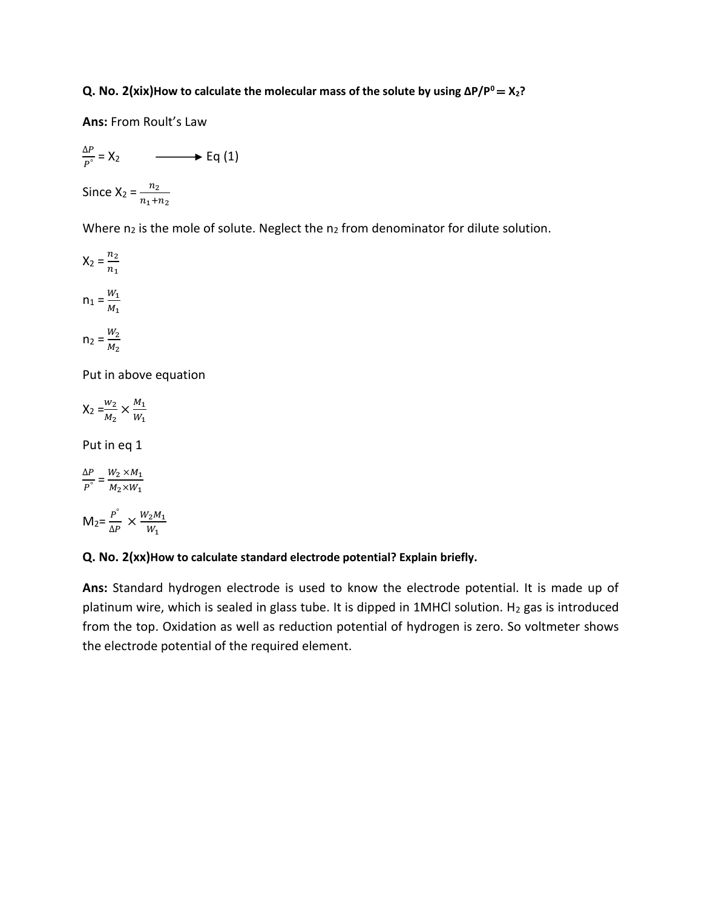**Q. No. 2(xix)How to calculate the molecular mass of the solute by using ∆P/P<sup>0</sup>**= **X2?**

**Ans:** From Roult's Law

$$
\frac{\Delta P}{P^{\circ}} = X_2 \longrightarrow Eq (1)
$$
  
Since  $X_2 = \frac{n_2}{n_1 + n_2}$ 

Where  $n_2$  is the mole of solute. Neglect the  $n_2$  from denominator for dilute solution.

$$
X_2 = \frac{n_2}{n_1}
$$

$$
n_1 = \frac{W_1}{M_1}
$$

$$
n_2 = \frac{W_2}{M_2}
$$

Put in above equation

$$
\mathsf{X}_2 = \frac{w_2}{M_2} \times \frac{M_1}{W_1}
$$

Put in eq 1

$$
\frac{\Delta P}{P^{\circ}} = \frac{W_2 \times M_1}{M_2 \times W_1}
$$

$$
M_2 = \frac{P^{\circ}}{\Delta P} \times \frac{W_2 M_1}{W_1}
$$

## **Q. No. 2(xx)How to calculate standard electrode potential? Explain briefly.**

**Ans:** Standard hydrogen electrode is used to know the electrode potential. It is made up of platinum wire, which is sealed in glass tube. It is dipped in 1MHCl solution. H<sub>2</sub> gas is introduced from the top. Oxidation as well as reduction potential of hydrogen is zero. So voltmeter shows the electrode potential of the required element.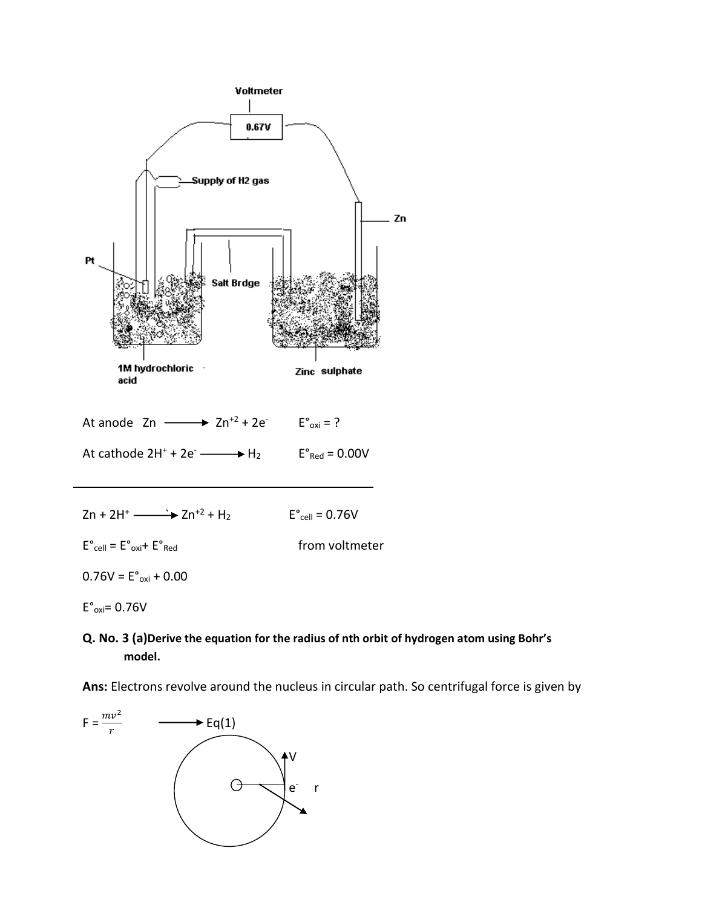

$$
Zn + 2H^+ \xrightarrow{\longrightarrow} Zn^{+2} + H_2
$$
 E<sup>o</sup><sub>cell</sub> = 0.76V

 $E^{\circ}$ <sub>cell</sub> =  $E^{\circ}$ <sub>oxi</sub>+  $E^{\circ}$ <sub>Red</sub> from voltmeter

 $0.76V = E^{\circ}_{\text{oxi}} + 0.00$ 

 $E^{\circ}$ <sub>oxi</sub>= 0.76V

**Q. No. 3 (a)Derive the equation for the radius of nth orbit of hydrogen atom using Bohr's model.**

**Ans:** Electrons revolve around the nucleus in circular path. So centrifugal force is given by

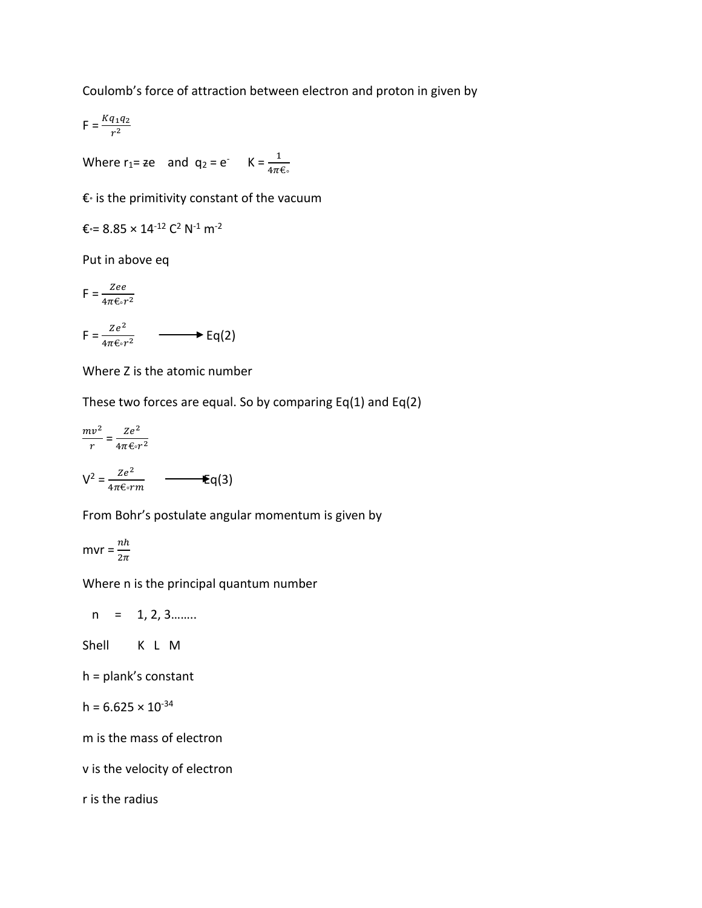Coulomb's force of attraction between electron and proton in given by

$$
\mathsf{F} = \frac{Kq_1q_2}{r^2}
$$

Where r<sub>1</sub>= ze and  $q_2 = e^T$  K =  $\frac{1}{4\pi\epsilon_0}$ 

€° is the primitivity constant of the vacuum

$$
\varepsilon = 8.85 \times 14^{-12} \, C^2 \, N^{-1} \, m^{-2}
$$

Put in above eq

$$
F = \frac{Zee}{4\pi\epsilon \cdot r^2}
$$
  
\n
$$
F = \frac{Ze^2}{4\pi\epsilon \cdot r^2} \longrightarrow Eq(2)
$$

Where Z is the atomic number

These two forces are equal. So by comparing  $Eq(1)$  and  $Eq(2)$ 

$$
\frac{mv^2}{r} = \frac{Ze^2}{4\pi\epsilon_0 r^2}
$$
  

$$
V^2 = \frac{Ze^2}{4\pi\epsilon_0 rm} \qquad \qquad \epsilon q(3)
$$

From Bohr's postulate angular momentum is given by

$$
mvr = \frac{nh}{2\pi}
$$

Where n is the principal quantum number

 $n = 1, 2, 3...$ 

Shell K L M

h = plank's constant

$$
h = 6.625 \times 10^{-34}
$$

m is the mass of electron

v is the velocity of electron

r is the radius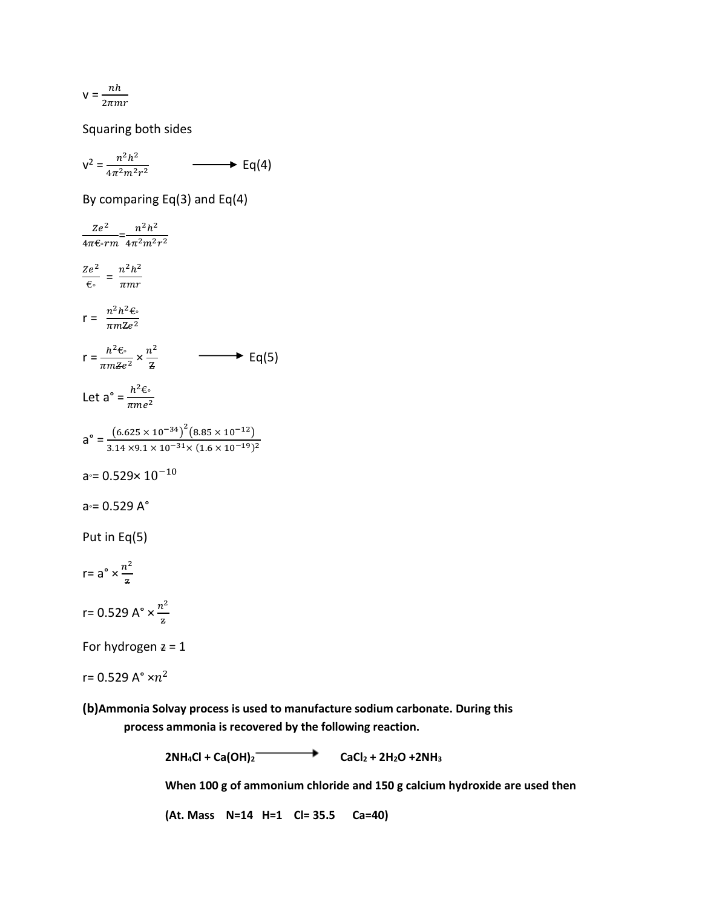$$
V = \frac{nh}{2\pi mr}
$$

Squaring both sides

$$
v^2 = \frac{n^2h^2}{4\pi^2m^2r^2} \qquad \longrightarrow \text{Eq}(4)
$$

By comparing Eq(3) and Eq(4)

$$
\frac{Ze^2}{4\pi \epsilon_0 r m} = \frac{n^2 h^2}{4\pi^2 m^2 r^2}
$$
  
\n
$$
\frac{Ze^2}{\epsilon_0} = \frac{n^2 h^2}{\pi m r}
$$
  
\n
$$
r = \frac{n^2 h^2 \epsilon_0}{\pi m \epsilon^2}
$$
  
\n
$$
r = \frac{h^2 \epsilon_0}{\pi m \epsilon^2} \times \frac{n^2}{\epsilon}
$$
  
\nLet  $a^{\circ} = \frac{h^2 \epsilon_0}{\pi m e^2}$   
\n
$$
a^{\circ} = \frac{(6.625 \times 10^{-34})^2 (8.85 \times 10^{-12})}{3.14 \times 9.1 \times 10^{-31} \times (1.6 \times 10^{-19})^2}
$$
  
\n
$$
a^{\circ} = 0.529 \times 10^{-10}
$$
  
\n
$$
a^{\circ} = 0.529 A^{\circ}
$$
  
\nPut in Eq(5)  
\n
$$
r = a^{\circ} \times \frac{n^2}{a}
$$
  
\nFor hydrogen z = 1

r= 0.529 A $^{\circ}$   $\times n^{2}$ 

**(b)Ammonia Solvay process is used to manufacture sodium carbonate. During this process ammonia is recovered by the following reaction.**

 $2NH_4Cl + Ca(OH)_2$   $\longrightarrow$   $CaCl_2 + 2H_2O + 2NH_3$ 

**When 100 g of ammonium chloride and 150 g calcium hydroxide are used then** 

**(At. Mass N=14 H=1 Cl= 35.5 Ca=40)**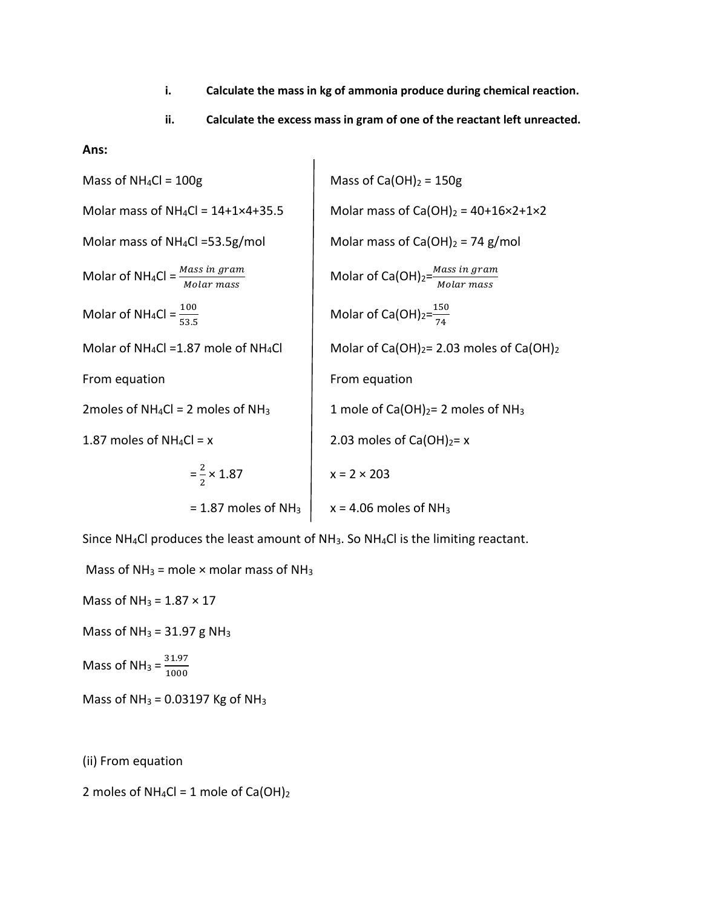- **i. Calculate the mass in kg of ammonia produce during chemical reaction.**
- **ii. Calculate the excess mass in gram of one of the reactant left unreacted.**

**Ans:**

| Mass of NH <sub>4</sub> Cl = 100g                                            | Mass of Ca(OH) <sub>2</sub> = 150g                             |                                                            |
|------------------------------------------------------------------------------|----------------------------------------------------------------|------------------------------------------------------------|
| Molar mass of NH <sub>4</sub> Cl = 14+1×4+35.5                               | Molar mass of Ca(OH) <sub>2</sub> = 40+16×2+1×2                |                                                            |
| Molar mass of NH <sub>4</sub> Cl = $\frac{Mass \text{ in gram}}{Molar mass}$ | Molar mass of Ca(OH) <sub>2</sub> = 74 g/mol                   |                                                            |
| Molar of NH <sub>4</sub> Cl = $\frac{100}{53.5}$                             | Molar of Ca(OH) <sub>2</sub> = $\frac{150}{Molar mass}$        |                                                            |
| Molar of NH <sub>4</sub> Cl = 1.87 mole of NH <sub>4</sub> Cl                | Molar of Ca(OH) <sub>2</sub> = $\frac{150}{74}$                |                                                            |
| From equation                                                                | 7moles of NH <sub>4</sub> Cl = 2 moles of NH <sub>3</sub>      | 1 mole of Ca(OH) <sub>2</sub> = 2 moles of NH <sub>3</sub> |
| 1.87 moles of NH <sub>4</sub> Cl = x                                         | 2.03 moles of Ca(OH) <sub>2</sub> = 2 moles of NH <sub>3</sub> |                                                            |
| 1.87 moles of NH <sub>4</sub> Cl = x                                         | 2.03 moles of Ca(OH) <sub>2</sub> = x                          |                                                            |
| = $\frac{2}{2}$ × 1.87                                                       | 1.87 moles of NH <sub>3</sub>                                  | 1.8 = 4.06 moles of NH <sub>3</sub>                        |

Since NH4Cl produces the least amount of NH3. So NH4Cl is the limiting reactant.

Mass of  $NH_3$  = mole  $\times$  molar mass of NH<sub>3</sub>

Mass of  $NH_3 = 1.87 \times 17$ 

Mass of  $NH_3 = 31.97$  g NH<sub>3</sub>

Mass of NH<sub>3</sub> =  $\frac{31.97}{1000}$ 1000

Mass of  $NH_3 = 0.03197$  Kg of  $NH_3$ 

(ii) From equation

2 moles of  $NH_4Cl = 1$  mole of  $Ca(OH)_2$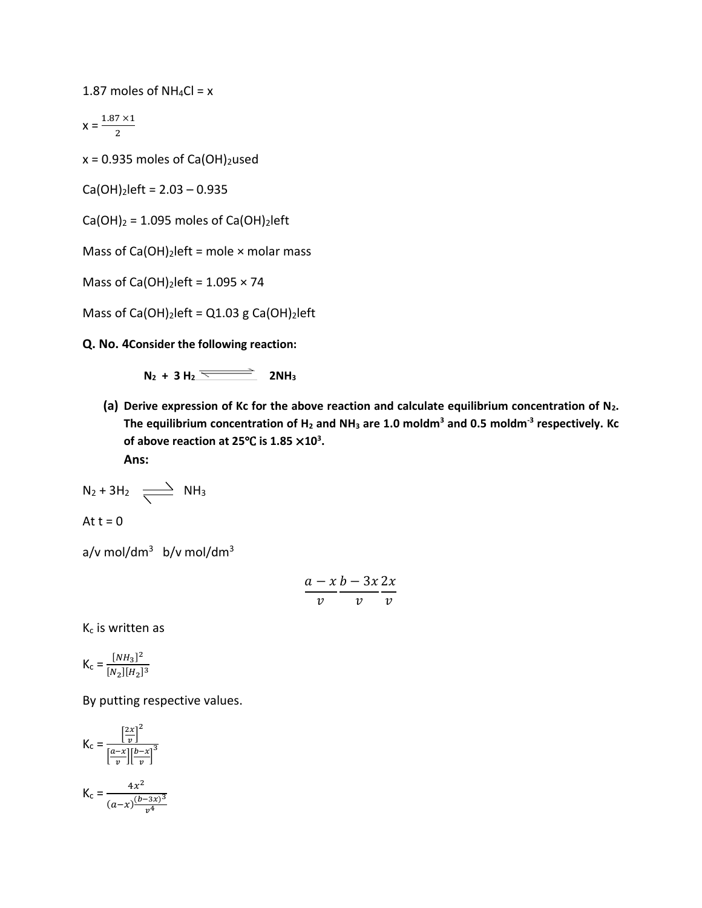1.87 moles of  $NH_4Cl = x$ 

$$
x = \frac{1.87 \times 1}{2}
$$

 $x = 0.935$  moles of Ca(OH)<sub>2</sub>used

 $Ca(OH)<sub>2</sub>$ left = 2.03 – 0.935

 $Ca(OH)_2 = 1.095$  moles of  $Ca(OH)_2$ left

Mass of  $Ca(OH)_2$  left = mole  $\times$  molar mass

Mass of Ca(OH)<sub>2</sub>left =  $1.095 \times 74$ 

Mass of Ca(OH)<sub>2</sub>left =  $Q1.03$  g Ca(OH)<sub>2</sub>left

**Q. No. 4Consider the following reaction:**

 $N_2 + 3 H_2 \xrightarrow{\longleftarrow} 2NH_3$ 

**(a) Derive expression of Kc for the above reaction and calculate equilibrium concentration of N2. The equilibrium concentration of H<sup>2</sup> and NH<sup>3</sup> are 1.0 moldm<sup>3</sup> and 0.5 moldm-3 respectively. Kc of above reaction at 25**℃ **is 1.85** ×**10<sup>3</sup> .**

**Ans:**

$$
N_2 + 3H_2 \quad \underbrace{\longrightarrow} \quad NH_3
$$

At  $t = 0$ 

a/v mol/dm $^3$  b/v mol/dm $^3$ 

$$
\frac{a-x}{v}\frac{b-3x}{v}\frac{2x}{v}
$$

K<sup>c</sup> is written as

$$
\mathsf{K}_{\mathsf{c}} = \frac{[NH_3]^2}{[N_2][H_2]^3}
$$

By putting respective values.

$$
K_{c} = \frac{\left[\frac{2x}{v}\right]^{2}}{\left[\frac{a-x}{v}\right]\left[\frac{b-x}{v}\right]^{3}}
$$

$$
K_{c} = \frac{4x^{2}}{(a-x)\frac{(b-3x)^{3}}{v^{4}}}
$$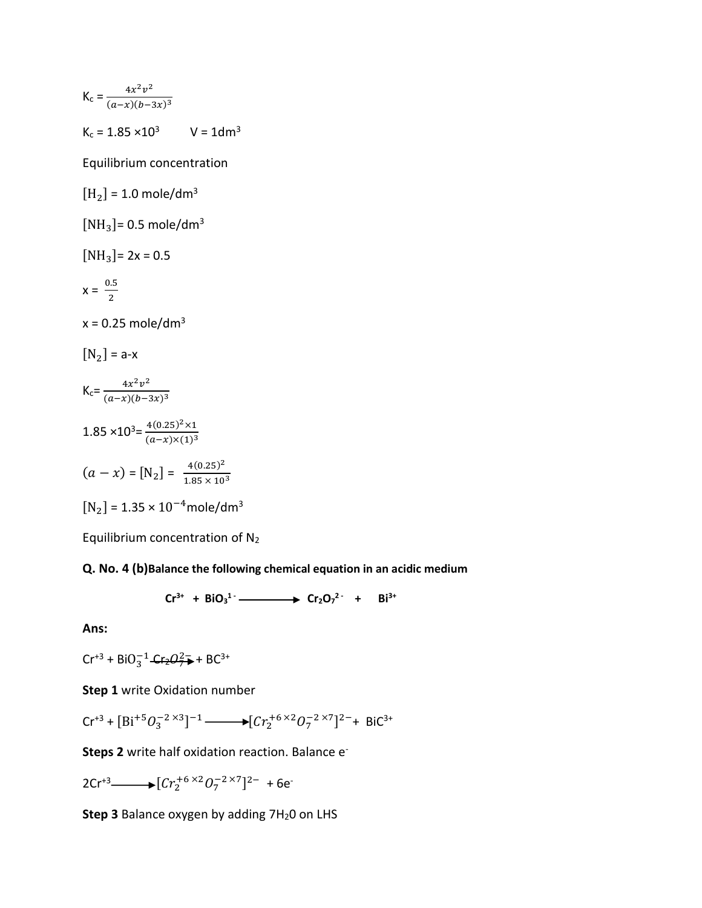$$
K_{c} = \frac{4x^{2}v^{2}}{(a-x)(b-3x)^{3}}
$$

 $K_c = 1.85 \times 10^3$  V = 1dm<sup>3</sup>

Equilibrium concentration

 $[H_2] = 1.0$  mole/dm<sup>3</sup>

 $[NH_3]$ = 0.5 mole/dm<sup>3</sup>

 $[NH<sub>3</sub>]$ = 2x = 0.5

$$
x = \frac{0.5}{2}
$$

 $x = 0.25$  mole/dm<sup>3</sup>

 $[N_2]$  = a-x

$$
K_{c} = \frac{4x^{2}v^{2}}{(a-x)(b-3x)^{3}}
$$
  
1.85 × 10<sup>3</sup>=  $\frac{4(0.25)^{2} \times 1}{(a-x) \times (1)^{3}}$   
(a - x) = [N<sub>2</sub>] =  $\frac{4(0.25)^{2}}{1.85 \times 10^{3}}$   
[N<sub>2</sub>] = 1.35 × 10<sup>-4</sup> mole/dm<sup>3</sup>

Equilibrium concentration of N<sup>2</sup>

## **Q. No. 4 (b)Balance the following chemical equation in an acidic medium**

$$
Cr^{3+} + BiO_3^{1-} \longrightarrow Cr_2O_7^{2-} + Bi^{3+}
$$

**Ans:**

$$
Cr^{+3} + BiO_3^{-1} - Cr_2O_7^{2} + BC^{3+}
$$

**Step 1** write Oxidation number

$$
\text{Cr}^{+3} + \text{[Bi}^{+5}O_3^{-2 \times 3}\text{]}^{-1} \longrightarrow \text{[Cr}_2^{+6 \times 2}O_7^{-2 \times 7}\text{]}^{2-} + \text{BiC}^{3+}
$$

Steps 2 write half oxidation reaction. Balance e<sup>-</sup>

 $2Cr^{+3} \longrightarrow [Cr_2^{+6\times2}O_7^{-2\times7}]^{2-} + 6e^{-}$ 

**Step 3** Balance oxygen by adding 7H<sub>2</sub>0 on LHS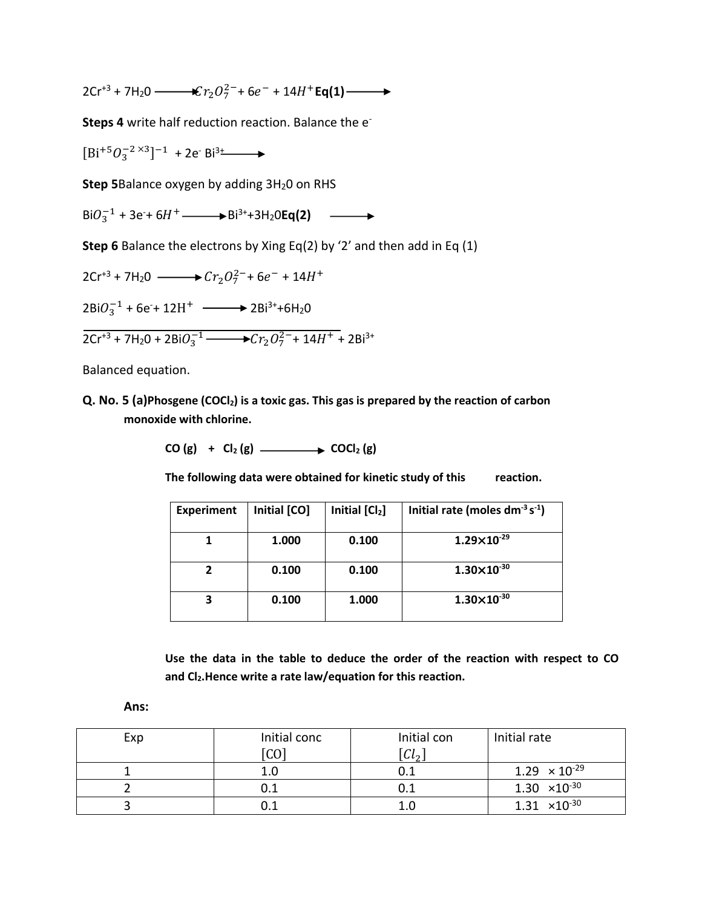$2Cr^{+3} + 7H_2O \longrightarrow 2Cr_2O_7^{2-} + 6e^- + 14H^+Eq(1)$ 

**Steps 4** write half reduction reaction. Balance the e-

 $[Bi^{+5}O_3^{-2\times3}]^{-1}$  + 2e<sup>-</sup> Bi<sup>3+</sup>

**Step 5**Balance oxygen by adding 3H<sub>2</sub>0 on RHS

 $BiO_3^{-1}$  + 3e<sup>+</sup> 6H<sup>+</sup>  $\longrightarrow$  Bi<sup>3+</sup>+3H<sub>2</sub>O**Eq(2)** 

**Step 6** Balance the electrons by Xing Eq(2) by '2' and then add in Eq (1)

$$
2Cr^{+3} + 7H_2O \longrightarrow Cr_2O_7^{2-} + 6e^- + 14H^+
$$

 $2BiO<sub>3</sub><sup>-1</sup> + 6e + 12H<sup>+</sup>$   $\longrightarrow$   $2Bi<sup>3+</sup> + 6H<sub>2</sub>O$ 

$$
2Cr^{+3} + 7H_2O + 2BiO_3^{-1} \longrightarrow Cr_2O_7^{2-} + 14H^+ + 2Bi^{3+}
$$

Balanced equation.

**Q. No. 5 (a)Phosgene (COCl2) is a toxic gas. This gas is prepared by the reaction of carbon monoxide with chlorine.** 

**CO (g) + Cl<sup>2</sup> (g) COCl<sup>2</sup> (g)**

**The following data were obtained for kinetic study of this reaction.**

| <b>Experiment</b> | Initial [CO] | Initial [Cl2] | Initial rate (moles $dm^{-3} s^{-1}$ ) |
|-------------------|--------------|---------------|----------------------------------------|
|                   | 1.000        | 0.100         | $1.29\times10^{-29}$                   |
|                   | 0.100        | 0.100         | $1.30\times10^{-30}$                   |
|                   | 0.100        | 1.000         | $1.30\times10^{-30}$                   |

**Use the data in the table to deduce the order of the reaction with respect to CO and Cl2.Hence write a rate law/equation for this reaction.**

**Ans:**

| Exp | Initial conc<br>$[{\rm CO}]$ | Initial con<br>$\lceil\mathit{Cl}_2\rceil$ | Initial rate           |
|-----|------------------------------|--------------------------------------------|------------------------|
|     | 1.0                          |                                            | $1.29 \times 10^{-29}$ |
|     |                              |                                            | $1.30 \times 10^{-30}$ |
|     |                              |                                            | $1.31 \times 10^{-30}$ |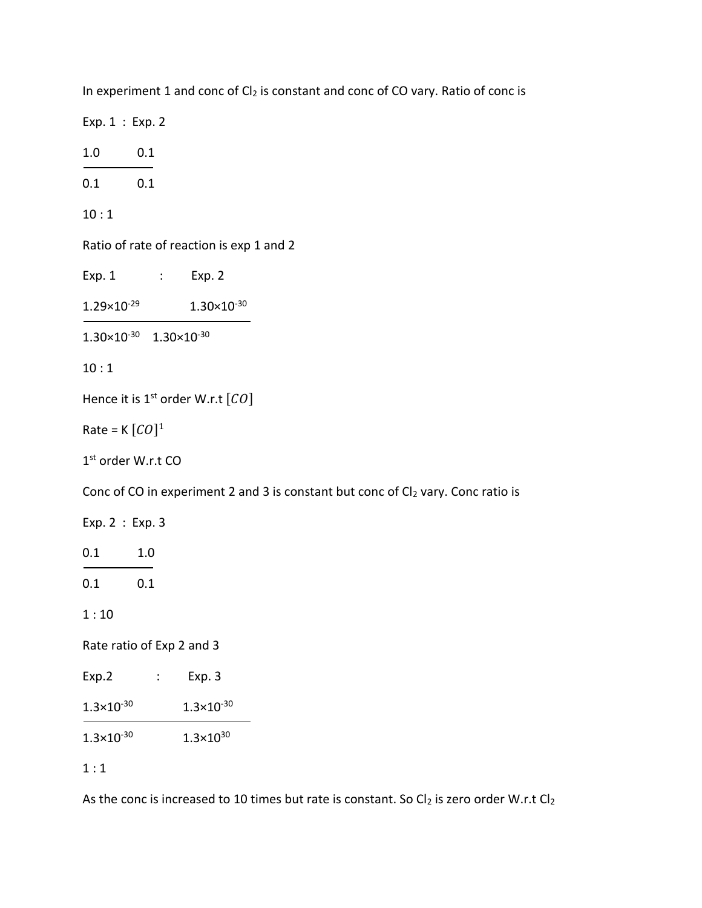| In experiment 1 and conc of $Cl2$ is constant and conc of CO vary. Ratio of conc is |
|-------------------------------------------------------------------------------------|
| Exp. 1 : Exp. 2                                                                     |
| 0.1<br>1.0                                                                          |
| 0.1 0.1                                                                             |
| 10:1                                                                                |
| Ratio of rate of reaction is exp 1 and 2                                            |
| $Exp. 1$ : $Exp. 2$                                                                 |
| $1.29 \times 10^{-29}$ $1.30 \times 10^{-30}$                                       |
| $1.30\times10^{-30}$ $1.30\times10^{-30}$                                           |
| 10:1                                                                                |
| Hence it is 1 <sup>st</sup> order W.r.t $[CO]$                                      |
| Rate = $K [CO]^1$                                                                   |
| 1 <sup>st</sup> order W.r.t CO                                                      |
| Conc of CO in experiment 2 and 3 is constant but conc of $Cl_2$ vary. Conc ratio is |
| Exp. 2 : Exp. 3                                                                     |
| 0.1<br>1.0                                                                          |
| 0.1 0.1                                                                             |
| 1:10                                                                                |
| Rate ratio of Exp 2 and 3                                                           |
| Exp.2<br>Exp. 3                                                                     |
| $1.3 \times 10^{-30}$<br>$1.3 \times 10^{-30}$                                      |
| $1.3 \times 10^{30}$<br>$1.3 \times 10^{-30}$                                       |
| 1:1                                                                                 |

As the conc is increased to 10 times but rate is constant. So  $Cl_2$  is zero order W.r.t  $Cl_2$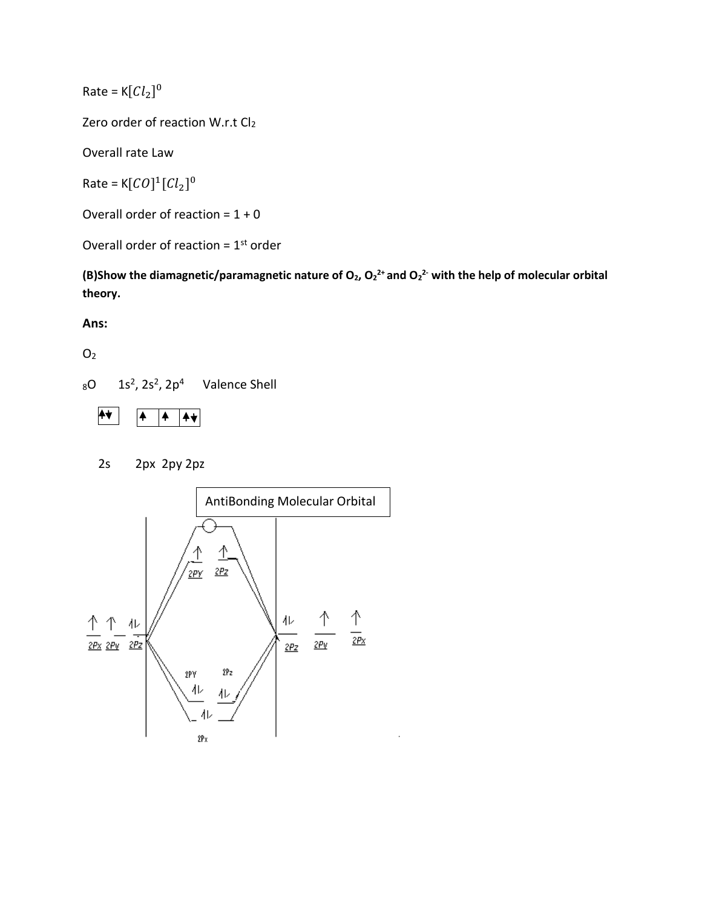Rate =  $K[Cl_2]^0$ 

Zero order of reaction W.r.t Cl<sub>2</sub>

Overall rate Law

Rate = K[ $CO$ ]<sup>1</sup>[ $Cl<sub>2</sub>$ ]<sup>0</sup>

Overall order of reaction =  $1 + 0$ 

Overall order of reaction =  $1<sup>st</sup>$  order

**(B)Show the diamagnetic/paramagnetic nature of O2, O<sup>2</sup> 2+ and O<sup>2</sup> 2- with the help of molecular orbital theory.**

**Ans:**

 $O<sub>2</sub>$ 

 $_8$ O  $_1$   $_2$ <sup>2</sup>,  $_2$ <sub>2</sub> $_2$ <sup>4</sup> Valence Shell